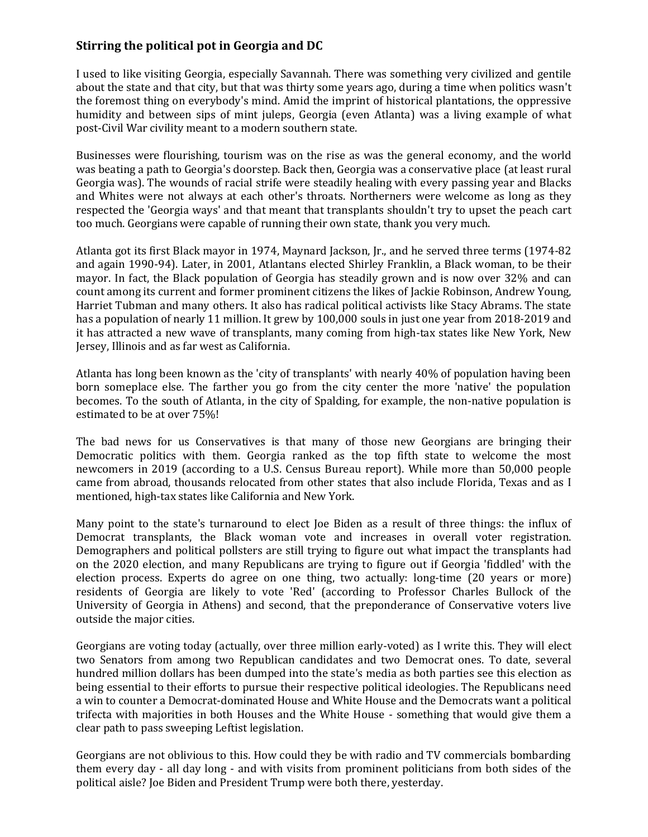## **Stirring the political pot in Georgia and DC**

I used to like visiting Georgia, especially Savannah. There was something very civilized and gentile about the state and that city, but that was thirty some years ago, during a time when politics wasn't the foremost thing on everybody's mind. Amid the imprint of historical plantations, the oppressive humidity and between sips of mint juleps, Georgia (even Atlanta) was a living example of what post-Civil War civility meant to a modern southern state.

Businesses were flourishing, tourism was on the rise as was the general economy, and the world was beating a path to Georgia's doorstep. Back then, Georgia was a conservative place (at least rural Georgia was). The wounds of racial strife were steadily healing with every passing year and Blacks and Whites were not always at each other's throats. Northerners were welcome as long as they respected the 'Georgia ways' and that meant that transplants shouldn't try to upset the peach cart too much. Georgians were capable of running their own state, thank you very much.

Atlanta got its first Black mayor in 1974, Maynard Jackson, Jr., and he served three terms (1974-82 and again 1990-94). Later, in 2001, Atlantans elected Shirley Franklin, a Black woman, to be their mayor. In fact, the Black population of Georgia has steadily grown and is now over 32% and can count among its current and former prominent citizens the likes of Jackie Robinson, Andrew Young, Harriet Tubman and many others. It also has radical political activists like Stacy Abrams. The state has a population of nearly 11 million. It grew by 100,000 souls in just one year from 2018-2019 and it has attracted a new wave of transplants, many coming from high-tax states like New York, New Jersey, Illinois and as far west as California.

Atlanta has long been known as the 'city of transplants' with nearly 40% of population having been born someplace else. The farther you go from the city center the more 'native' the population becomes. To the south of Atlanta, in the city of Spalding, for example, the non-native population is estimated to be at over 75%!

The bad news for us Conservatives is that many of those new Georgians are bringing their Democratic politics with them. Georgia ranked as the top fifth state to welcome the most newcomers in 2019 (according to a U.S. Census Bureau report). While more than 50,000 people came from abroad, thousands relocated from other states that also include Florida, Texas and as I mentioned, high-tax states like California and New York.

Many point to the state's turnaround to elect Joe Biden as a result of three things: the influx of Democrat transplants, the Black woman vote and increases in overall voter registration. Demographers and political pollsters are still trying to figure out what impact the transplants had on the 2020 election, and many Republicans are trying to figure out if Georgia 'fiddled' with the election process. Experts do agree on one thing, two actually: long-time (20 years or more) residents of Georgia are likely to vote 'Red' (according to Professor Charles Bullock of the University of Georgia in Athens) and second, that the preponderance of Conservative voters live outside the major cities.

Georgians are voting today (actually, over three million early-voted) as I write this. They will elect two Senators from among two Republican candidates and two Democrat ones. To date, several hundred million dollars has been dumped into the state's media as both parties see this election as being essential to their efforts to pursue their respective political ideologies. The Republicans need a win to counter a Democrat-dominated House and White House and the Democrats want a political trifecta with majorities in both Houses and the White House - something that would give them a clear path to pass sweeping Leftist legislation.

Georgians are not oblivious to this. How could they be with radio and TV commercials bombarding them every day - all day long - and with visits from prominent politicians from both sides of the political aisle? Joe Biden and President Trump were both there, yesterday.